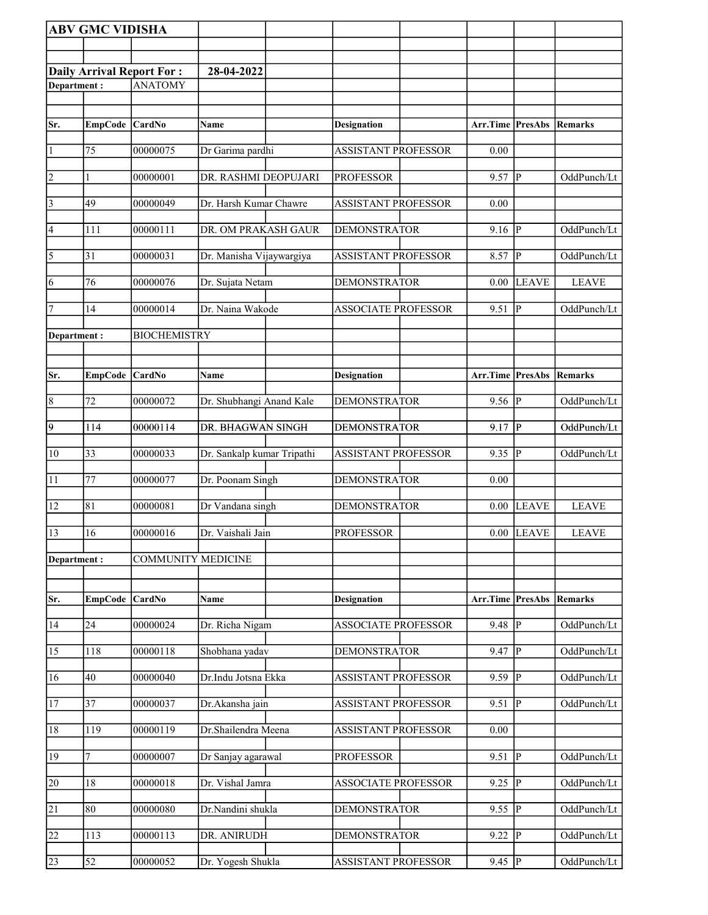|                         | <b>ABV GMC VIDISHA</b> |                                  |                            |                            |                  |                         |                |
|-------------------------|------------------------|----------------------------------|----------------------------|----------------------------|------------------|-------------------------|----------------|
|                         |                        |                                  |                            |                            |                  |                         |                |
|                         |                        | <b>Daily Arrival Report For:</b> | 28-04-2022                 |                            |                  |                         |                |
| Department:             |                        | <b>ANATOMY</b>                   |                            |                            |                  |                         |                |
|                         |                        |                                  |                            |                            |                  |                         |                |
| Sr.                     | <b>EmpCode</b>         | <b>CardNo</b>                    | Name                       | <b>Designation</b>         | Arr.Time PresAbs |                         | Remarks        |
| 1                       | $\overline{75}$        | 00000075                         | Dr Garima pardhi           | <b>ASSISTANT PROFESSOR</b> | 0.00             |                         |                |
| 2                       |                        | 00000001                         | DR. RASHMI DEOPUJARI       | <b>PROFESSOR</b>           | 9.57             | lР                      | OddPunch/Lt    |
| $\overline{\mathbf{3}}$ | 49                     | 00000049                         | Dr. Harsh Kumar Chawre     | ASSISTANT PROFESSOR        | 0.00             |                         |                |
| 4                       | 111                    | 00000111                         | DR. OM PRAKASH GAUR        | <b>DEMONSTRATOR</b>        | 9.16             | P                       | OddPunch/Lt    |
| $\overline{5}$          | 31                     | 00000031                         | Dr. Manisha Vijaywargiya   | <b>ASSISTANT PROFESSOR</b> | 8.57             | ∣P                      | OddPunch/Lt    |
| 6                       | 76                     | 00000076                         | Dr. Sujata Netam           | <b>DEMONSTRATOR</b>        | 0.00             | <b>LEAVE</b>            | <b>LEAVE</b>   |
| 7                       | 14                     | 00000014                         | Dr. Naina Wakode           | <b>ASSOCIATE PROFESSOR</b> | 9.51             | lР                      | OddPunch/Lt    |
| Department:             |                        | <b>BIOCHEMISTRY</b>              |                            |                            |                  |                         |                |
|                         |                        |                                  |                            |                            |                  |                         |                |
| Sr.                     | <b>EmpCode</b>         | CardNo                           | Name                       | <b>Designation</b>         | Arr.Time PresAbs |                         | Remarks        |
| $\overline{8}$          | 72                     | 00000072                         | Dr. Shubhangi Anand Kale   | <b>DEMONSTRATOR</b>        | 9.56             | $\overline{\mathbb{P}}$ | OddPunch/Lt    |
| $\overline{9}$          | 114                    | 00000114                         | DR. BHAGWAN SINGH          | <b>DEMONSTRATOR</b>        | 9.17             | $\overline{P}$          | OddPunch/Lt    |
| 10                      | $\overline{33}$        | 00000033                         | Dr. Sankalp kumar Tripathi | <b>ASSISTANT PROFESSOR</b> | 9.35             | P                       | OddPunch/Lt    |
| $\overline{11}$         | 77                     | 00000077                         | Dr. Poonam Singh           | <b>DEMONSTRATOR</b>        | 0.00             |                         |                |
| 12                      | 81                     | 00000081                         | Dr Vandana singh           | <b>DEMONSTRATOR</b>        | 0.00             | LEAVE                   | <b>LEAVE</b>   |
| $\sqrt{13}$             | 16                     | 00000016                         | Dr. Vaishali Jain          | <b>PROFESSOR</b>           |                  | $0.00$ LEAVE            | <b>LEAVE</b>   |
| Department:             |                        | <b>COMMUNITY MEDICINE</b>        |                            |                            |                  |                         |                |
|                         |                        |                                  |                            |                            |                  |                         |                |
| Sr.                     | <b>EmpCode</b>         | CardNo                           | Name                       | <b>Designation</b>         | Arr.Time PresAbs |                         | <b>Remarks</b> |
| 14                      | 24                     | 00000024                         | Dr. Richa Nigam            | <b>ASSOCIATE PROFESSOR</b> | 9.48             | p                       | OddPunch/Lt    |
| 15                      | 118                    | 00000118                         | Shobhana yadav             | <b>DEMONSTRATOR</b>        | 9.47             | P                       | OddPunch/Lt    |
| 16                      | 40                     | 00000040                         | Dr.Indu Jotsna Ekka        | <b>ASSISTANT PROFESSOR</b> | 9.59             | P                       | OddPunch/Lt    |
| 17                      | 37                     | 00000037                         | Dr.Akansha jain            | ASSISTANT PROFESSOR        | 9.51             | P                       | OddPunch/Lt    |
| 18                      | 119                    | 00000119                         | Dr.Shailendra Meena        | <b>ASSISTANT PROFESSOR</b> | 0.00             |                         |                |
| 19                      | 7                      | 00000007                         | Dr Sanjay agarawal         | <b>PROFESSOR</b>           | 9.51             | P                       | OddPunch/Lt    |
| 20                      | 18                     | 00000018                         | Dr. Vishal Jamra           | <b>ASSOCIATE PROFESSOR</b> | 9.25             | $\overline{\mathbb{P}}$ | OddPunch/Lt    |
| $\overline{21}$         | 80                     | 00000080                         | Dr.Nandini shukla          | <b>DEMONSTRATOR</b>        | 9.55             | P                       | OddPunch/Lt    |
| 22                      | 113                    | 00000113                         | DR. ANIRUDH                | <b>DEMONSTRATOR</b>        | 9.22             | lР                      | OddPunch/Lt    |
| $\overline{23}$         | 52                     | 00000052                         | Dr. Yogesh Shukla          | ASSISTANT PROFESSOR        | $9.45$ P         |                         | OddPunch/Lt    |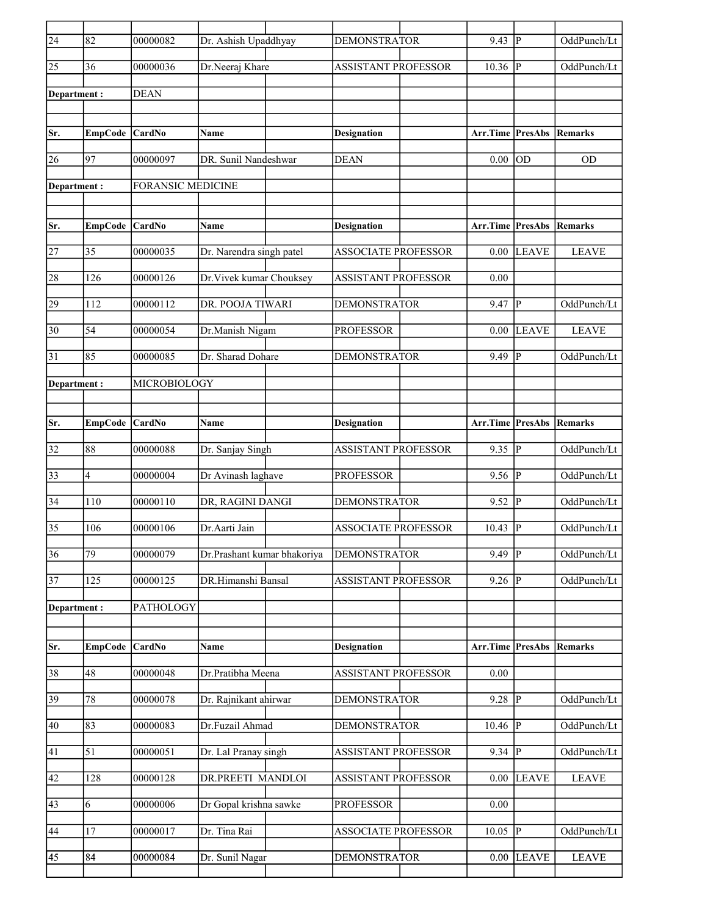| $\overline{24}$ | 82                       | 00000082                 | Dr. Ashish Upaddhyay        | <b>DEMONSTRATOR</b>        | 9.43                            | P              | OddPunch/Lt  |
|-----------------|--------------------------|--------------------------|-----------------------------|----------------------------|---------------------------------|----------------|--------------|
| 25              | 36                       | 00000036                 | Dr.Neeraj Khare             | <b>ASSISTANT PROFESSOR</b> | 10.36                           | $\overline{P}$ | OddPunch/Lt  |
| Department:     |                          | <b>DEAN</b>              |                             |                            |                                 |                |              |
|                 |                          |                          |                             |                            |                                 |                |              |
| Sr.             | EmpCode                  | CardNo                   | Name                        | <b>Designation</b>         | Arr.Time PresAbs                |                | Remarks      |
| 26              | 97                       | 00000097                 | DR. Sunil Nandeshwar        | <b>DEAN</b>                | 0.00                            | OD             | <b>OD</b>    |
| Department:     |                          | <b>FORANSIC MEDICINE</b> |                             |                            |                                 |                |              |
|                 |                          |                          |                             |                            |                                 |                |              |
| Sr.             | EmpCode CardNo           |                          | <b>Name</b>                 | <b>Designation</b>         | <b>Arr.Time PresAbs Remarks</b> |                |              |
| 27              | 35                       | 00000035                 | Dr. Narendra singh patel    | <b>ASSOCIATE PROFESSOR</b> | 0.00                            | <b>LEAVE</b>   | <b>LEAVE</b> |
| 28              | 126                      | 00000126                 | Dr. Vivek kumar Chouksey    | <b>ASSISTANT PROFESSOR</b> | 0.00                            |                |              |
| 29              | 112                      | 00000112                 | DR. POOJA TIWARI            | <b>DEMONSTRATOR</b>        | 9.47                            | IР             | OddPunch/Lt  |
| 30              | 54                       | 00000054                 | Dr.Manish Nigam             | <b>PROFESSOR</b>           | 0.00                            | <b>LEAVE</b>   | <b>LEAVE</b> |
| 31              | 85                       | 00000085                 | Dr. Sharad Dohare           | <b>DEMONSTRATOR</b>        | 9.49                            | $\mathsf{P}$   | OddPunch/Lt  |
| Department:     |                          | MICROBIOLOGY             |                             |                            |                                 |                |              |
|                 |                          |                          |                             |                            |                                 |                |              |
| Sr.             | EmpCode CardNo           |                          | Name                        | <b>Designation</b>         | <b>Arr.Time PresAbs Remarks</b> |                |              |
| 32              | 88                       | 00000088                 | Dr. Sanjay Singh            | <b>ASSISTANT PROFESSOR</b> | 9.35                            | p              | OddPunch/Lt  |
| $\overline{33}$ |                          | 00000004                 |                             |                            |                                 | ∣P             | OddPunch/Lt  |
|                 | $\overline{\mathcal{L}}$ |                          | Dr Avinash laghave          | <b>PROFESSOR</b>           | 9.56                            |                |              |
| 34              | 110                      | 00000110                 | DR, RAGINI DANGI            | <b>DEMONSTRATOR</b>        | 9.52                            | $\mathbf P$    | OddPunch/Lt  |
| 35              | 106                      | 00000106                 | Dr.Aarti Jain               | <b>ASSOCIATE PROFESSOR</b> | 10.43                           | P              | OddPunch/Lt  |
| $\overline{36}$ | 79                       | 00000079                 | Dr.Prashant kumar bhakoriya | <b>DEMONSTRATOR</b>        | 9.49                            | $\overline{P}$ | OddPunch/Lt  |
| 37              | $\overline{1}25$         | 00000125                 | DR.Himanshi Bansal          | <b>ASSISTANT PROFESSOR</b> | 9.26                            | <sup> </sup> P | OddPunch/Lt  |
| Department:     |                          | PATHOLOGY                |                             |                            |                                 |                |              |
|                 |                          |                          |                             |                            |                                 |                |              |
| Sr.             | <b>EmpCode</b>           | CardNo                   | Name                        | <b>Designation</b>         | Arr.Time                        | PresAbs        | Remarks      |
| 38              | 48                       | 00000048                 | Dr.Pratibha Meena           | <b>ASSISTANT PROFESSOR</b> | 0.00                            |                |              |
| 39              | 78                       | 00000078                 | Dr. Rajnikant ahirwar       | <b>DEMONSTRATOR</b>        | 9.28                            | P              | OddPunch/Lt  |
| 40              | 83                       | 00000083                 | Dr.Fuzail Ahmad             | <b>DEMONSTRATOR</b>        | 10.46                           | P              | OddPunch/Lt  |
| 41              | 51                       | 00000051                 | Dr. Lal Pranay singh        | <b>ASSISTANT PROFESSOR</b> | 9.34   $P$                      |                | OddPunch/Lt  |
| 42              | 128                      | 00000128                 | DR.PREETI MANDLOI           | <b>ASSISTANT PROFESSOR</b> | 0.00                            | <b>LEAVE</b>   | <b>LEAVE</b> |
| 43              | 6                        | 00000006                 | Dr Gopal krishna sawke      | <b>PROFESSOR</b>           | 0.00                            |                |              |
| 44              | 17                       | 00000017                 | Dr. Tina Rai                | <b>ASSOCIATE PROFESSOR</b> | 10.05                           | P              | OddPunch/Lt  |
| 45              | 84                       | 00000084                 | Dr. Sunil Nagar             | <b>DEMONSTRATOR</b>        | 0.00                            | <b>LEAVE</b>   | <b>LEAVE</b> |
|                 |                          |                          |                             |                            |                                 |                |              |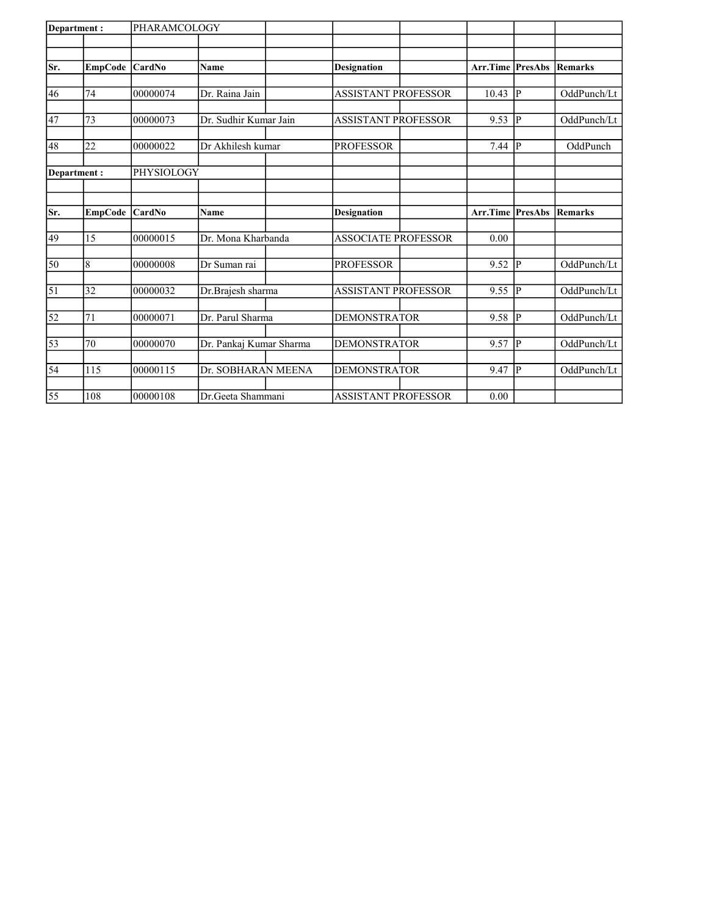| Department: |                | PHARAMCOLOGY |                         |                            |                         |    |             |
|-------------|----------------|--------------|-------------------------|----------------------------|-------------------------|----|-------------|
|             |                |              |                         |                            |                         |    |             |
| Sr.         | <b>EmpCode</b> | CardNo       | <b>Name</b>             | <b>Designation</b>         | <b>Arr.Time PresAbs</b> |    | Remarks     |
|             |                |              |                         |                            |                         |    |             |
| 46          | 74             | 00000074     | Dr. Raina Jain          | <b>ASSISTANT PROFESSOR</b> | 10.43                   | IР | OddPunch/Lt |
| 47          | 73             | 00000073     | Dr. Sudhir Kumar Jain   | <b>ASSISTANT PROFESSOR</b> | 9.53                    | IР | OddPunch/Lt |
| 48          | 22             | 00000022     | Dr Akhilesh kumar       | <b>PROFESSOR</b>           | 7.44                    | P  | OddPunch    |
|             | Department:    | PHYSIOLOGY   |                         |                            |                         |    |             |
|             |                |              |                         |                            |                         |    |             |
| lSr.        | <b>EmpCode</b> | CardNo       | <b>Name</b>             | <b>Designation</b>         | <b>Arr.Time PresAbs</b> |    | Remarks     |
| 49          | 15             | 00000015     | Dr. Mona Kharbanda      | <b>ASSOCIATE PROFESSOR</b> | 0.00                    |    |             |
| 50          | $\overline{8}$ | 00000008     | Dr Suman rai            | <b>PROFESSOR</b>           | 9.52                    | P  | OddPunch/Lt |
| 51          | 32             | 00000032     | Dr.Brajesh sharma       | <b>ASSISTANT PROFESSOR</b> | 9.55                    | P  | OddPunch/Lt |
| 52          | 71             | 00000071     | Dr. Parul Sharma        | <b>DEMONSTRATOR</b>        | 9.58                    | P  | OddPunch/Lt |
| 53          | 70             | 00000070     | Dr. Pankaj Kumar Sharma | <b>DEMONSTRATOR</b>        | 9.57                    | IР | OddPunch/Lt |
| 54          | 115            | 00000115     | Dr. SOBHARAN MEENA      | <b>DEMONSTRATOR</b>        | 9.47                    | IР | OddPunch/Lt |
| 55          | 108            | 00000108     | Dr.Geeta Shammani       | <b>ASSISTANT PROFESSOR</b> | 0.00                    |    |             |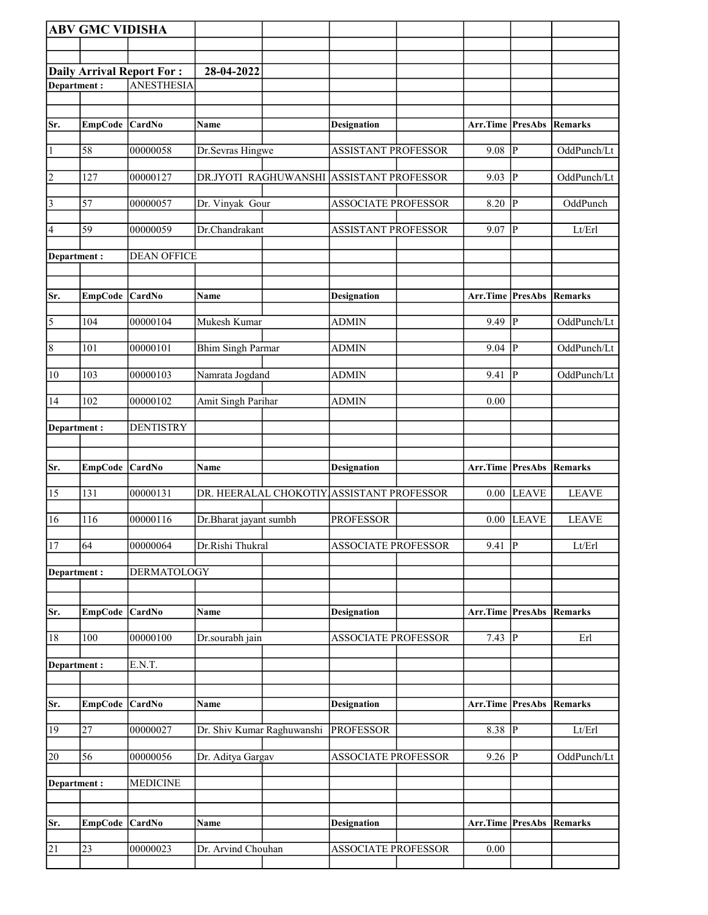|                       | <b>ABV GMC VIDISHA</b> |                                                       |                            |                                           |                                 |                |                |
|-----------------------|------------------------|-------------------------------------------------------|----------------------------|-------------------------------------------|---------------------------------|----------------|----------------|
|                       |                        |                                                       |                            |                                           |                                 |                |                |
|                       |                        |                                                       |                            |                                           |                                 |                |                |
| Department:           |                        | <b>Daily Arrival Report For:</b><br><b>ANESTHESIA</b> | 28-04-2022                 |                                           |                                 |                |                |
|                       |                        |                                                       |                            |                                           |                                 |                |                |
|                       |                        |                                                       |                            |                                           |                                 |                |                |
| Sr.                   | EmpCode CardNo         |                                                       | Name                       | <b>Designation</b>                        | <b>Arr.Time PresAbs Remarks</b> |                |                |
| $\vert$ 1             | 58                     | 00000058                                              | Dr.Sevras Hingwe           | <b>ASSISTANT PROFESSOR</b>                | 9.08                            | $\overline{P}$ | OddPunch/Lt    |
| $\overline{2}$        | 127                    | 00000127                                              |                            | DR.JYOTI RAGHUWANSHI ASSISTANT PROFESSOR  | 9.03                            | P              | OddPunch/Lt    |
| $\overline{3}$        | 57                     | 00000057                                              | Dr. Vinyak Gour            | <b>ASSOCIATE PROFESSOR</b>                | 8.20                            | $\overline{P}$ | OddPunch       |
| $\vert 4$             | 59                     | 00000059                                              | Dr.Chandrakant             | <b>ASSISTANT PROFESSOR</b>                | 9.07                            | P              | Lt/Erl         |
| Department :          |                        | <b>DEAN OFFICE</b>                                    |                            |                                           |                                 |                |                |
|                       |                        |                                                       |                            |                                           |                                 |                |                |
| Sr.                   | EmpCode CardNo         |                                                       | Name                       | <b>Designation</b>                        | Arr.Time PresAbs                |                | Remarks        |
| $\overline{\sqrt{5}}$ | 104                    | 00000104                                              | Mukesh Kumar               | <b>ADMIN</b>                              | 9.49                            | $\mathbf{P}$   | OddPunch/Lt    |
| $\sqrt{8}$            | 101                    | 00000101                                              | <b>Bhim Singh Parmar</b>   | <b>ADMIN</b>                              | 9.04                            | ${\bf P}$      | OddPunch/Lt    |
| 10                    | 103                    | 00000103                                              | Namrata Jogdand            | <b>ADMIN</b>                              | 9.41                            | $\mathbf{P}$   | OddPunch/Lt    |
| 14                    | 102                    | 00000102                                              | Amit Singh Parihar         | <b>ADMIN</b>                              | 0.00                            |                |                |
| Department:           |                        | <b>DENTISTRY</b>                                      |                            |                                           |                                 |                |                |
|                       |                        |                                                       |                            |                                           |                                 |                |                |
| Sr.                   | <b>EmpCode</b>         | <b>CardNo</b>                                         | Name                       | Designation                               | Arr.Time                        | <b>PresAbs</b> | Remarks        |
| 15                    | 131                    | 00000131                                              |                            | DR. HEERALAL CHOKOTIY ASSISTANT PROFESSOR | 0.00                            | <b>LEAVE</b>   | <b>LEAVE</b>   |
| 16                    | 116                    | 00000116                                              | Dr.Bharat jayant sumbh     | <b>PROFESSOR</b>                          | 0.00                            | <b>LEAVE</b>   | <b>LEAVE</b>   |
| 17                    | 64                     | 00000064                                              | Dr.Rishi Thukral           | <b>ASSOCIATE PROFESSOR</b>                | $9.41$ P                        |                | Lt/Erl         |
| Department:           |                        | DERMATOLOGY                                           |                            |                                           |                                 |                |                |
| Sr.                   | <b>EmpCode</b>         | <b>CardNo</b>                                         | Name                       | <b>Designation</b>                        | Arr.Time                        | <b>PresAbs</b> | <b>Remarks</b> |
| 18                    | 100                    | 00000100                                              | Dr.sourabh jain            | <b>ASSOCIATE PROFESSOR</b>                | 7.43                            | $\bf P$        | Erl            |
| Department:           |                        | E.N.T.                                                |                            |                                           |                                 |                |                |
|                       |                        |                                                       |                            |                                           |                                 |                |                |
| Sr.                   | EmpCode CardNo         |                                                       | Name                       | <b>Designation</b>                        | <b>Arr.Time PresAbs Remarks</b> |                |                |
| 19                    | 27                     | 00000027                                              | Dr. Shiv Kumar Raghuwanshi | <b>PROFESSOR</b>                          | 8.38 $\overline{P}$             |                | Lt/Erl         |
| 20                    | 56                     | 00000056                                              | Dr. Aditya Gargav          | ASSOCIATE PROFESSOR                       | 9.26                            | $\overline{P}$ | OddPunch/Lt    |
| Department :          |                        | <b>MEDICINE</b>                                       |                            |                                           |                                 |                |                |
|                       |                        |                                                       |                            |                                           |                                 |                |                |
| Sr.                   | EmpCode CardNo         |                                                       | Name                       | <b>Designation</b>                        | Arr.Time PresAbs                |                | Remarks        |
| $\overline{21}$       | 23                     | 00000023                                              | Dr. Arvind Chouhan         | <b>ASSOCIATE PROFESSOR</b>                | $0.00\,$                        |                |                |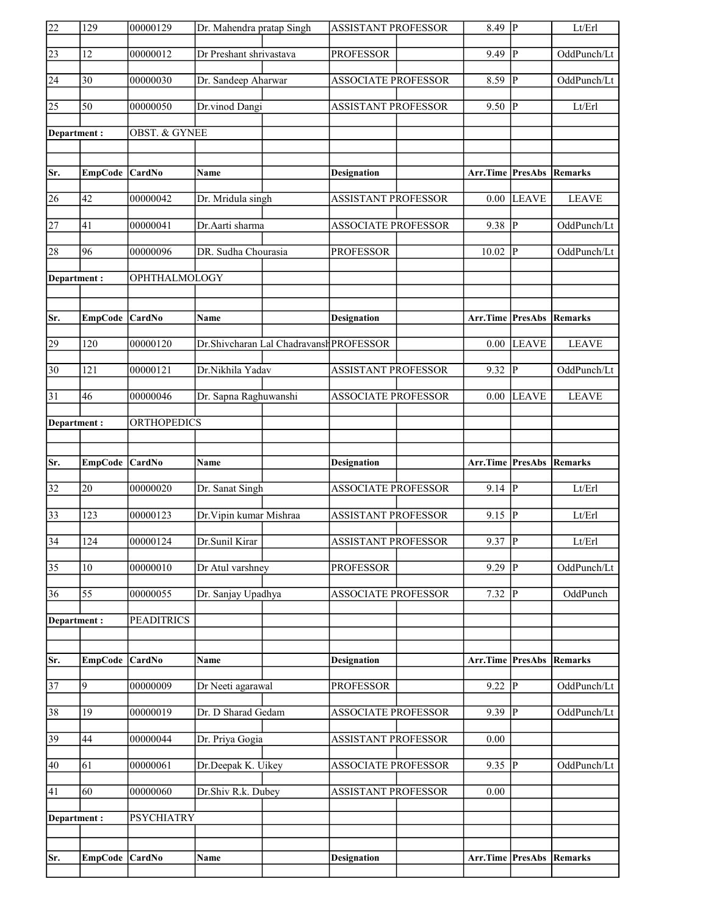| 22              | 129            | 00000129                 | Dr. Mahendra pratap Singh |                                         | ASSISTANT PROFESSOR        | $8.\overline{49}$ P             |                         | Lt/Erl         |
|-----------------|----------------|--------------------------|---------------------------|-----------------------------------------|----------------------------|---------------------------------|-------------------------|----------------|
| $\sqrt{23}$     | 12             | 00000012                 | Dr Preshant shrivastava   |                                         | <b>PROFESSOR</b>           | 9.49                            | $\mathbf{P}$            | OddPunch/Lt    |
| 24              | 30             | 00000030                 | Dr. Sandeep Aharwar       |                                         | ASSOCIATE PROFESSOR        | 8.59                            | $\mathbf{P}$            | OddPunch/Lt    |
| $\overline{25}$ | 50             | 00000050                 | Dr.vinod Dangi            |                                         | <b>ASSISTANT PROFESSOR</b> | 9.50                            | $ {\bf p} $             | Lt/Erl         |
| Department:     |                | <b>OBST. &amp; GYNEE</b> |                           |                                         |                            |                                 |                         |                |
|                 |                |                          |                           |                                         |                            |                                 |                         |                |
| Sr.             | EmpCode CardNo |                          | <b>Name</b>               |                                         | <b>Designation</b>         | <b>Arr.Time PresAbs Remarks</b> |                         |                |
| 26              | 42             | 00000042                 | Dr. Mridula singh         |                                         | <b>ASSISTANT PROFESSOR</b> | 0.00                            | <b>LEAVE</b>            | <b>LEAVE</b>   |
| $\overline{27}$ | 41             | 00000041                 | Dr.Aarti sharma           |                                         | <b>ASSOCIATE PROFESSOR</b> | 9.38 P                          |                         | OddPunch/Lt    |
| 28              | 96             | 00000096                 | DR. Sudha Chourasia       |                                         | <b>PROFESSOR</b>           | 10.02                           | $\overline{P}$          | OddPunch/Lt    |
| Department:     |                | OPHTHALMOLOGY            |                           |                                         |                            |                                 |                         |                |
|                 |                |                          |                           |                                         |                            |                                 |                         |                |
| Sr.             | EmpCode CardNo |                          | Name                      |                                         | <b>Designation</b>         | <b>Arr.Time PresAbs Remarks</b> |                         |                |
| 29              | 120            | 00000120                 |                           | Dr.Shivcharan Lal Chadravansh PROFESSOR |                            | 0.00                            | <b>LEAVE</b>            | <b>LEAVE</b>   |
| $\overline{30}$ | 121            | 00000121                 | Dr.Nikhila Yadav          |                                         | ASSISTANT PROFESSOR        | 9.32                            | $\overline{\mathbf{P}}$ | OddPunch/Lt    |
| 31              | 46             | 00000046                 | Dr. Sapna Raghuwanshi     |                                         | <b>ASSOCIATE PROFESSOR</b> | 0.00                            | <b>LEAVE</b>            | <b>LEAVE</b>   |
| Department:     |                | <b>ORTHOPEDICS</b>       |                           |                                         |                            |                                 |                         |                |
|                 |                |                          |                           |                                         |                            |                                 |                         |                |
|                 |                |                          |                           |                                         |                            |                                 |                         |                |
| Sr.             | <b>EmpCode</b> | CardNo                   | Name                      |                                         | <b>Designation</b>         | Arr.Time                        | PresAbs                 | Remarks        |
| $\overline{32}$ | 20             | 00000020                 | Dr. Sanat Singh           |                                         | <b>ASSOCIATE PROFESSOR</b> | $9.14$ P                        |                         | Lt/Erl         |
| $\overline{33}$ | 123            | 00000123                 | Dr. Vipin kumar Mishraa   |                                         | <b>ASSISTANT PROFESSOR</b> | 9.15                            | $\overline{P}$          | Lt/Erl         |
| $\overline{34}$ | 124            | 00000124                 | Dr.Sunil Kirar            |                                         | <b>ASSISTANT PROFESSOR</b> | $9.37$ P                        |                         | Lt/Erl         |
| $\overline{35}$ | 10             | 00000010                 | Dr Atul varshney          |                                         | <b>PROFESSOR</b>           | 9.29                            | $\overline{P}$          | OddPunch/Lt    |
| 36              | 55             | 00000055                 | Dr. Sanjay Upadhya        |                                         | <b>ASSOCIATE PROFESSOR</b> | 7.32                            | P                       | OddPunch       |
| Department:     |                | <b>PEADITRICS</b>        |                           |                                         |                            |                                 |                         |                |
|                 |                |                          |                           |                                         |                            |                                 |                         |                |
| Sr.             | <b>EmpCode</b> | <b>CardNo</b>            | Name                      |                                         | <b>Designation</b>         | Arr.Time                        | <b>PresAbs</b>          | <b>Remarks</b> |
| $\overline{37}$ | 9              | 00000009                 | Dr Neeti agarawal         |                                         | <b>PROFESSOR</b>           | 9.22                            | $\overline{P}$          | OddPunch/Lt    |
| 38              | 19             | 00000019                 | Dr. D Sharad Gedam        |                                         | ASSOCIATE PROFESSOR        | 9.39                            | $\overline{P}$          | OddPunch/Lt    |
| 39              | 44             | 00000044                 | Dr. Priya Gogia           |                                         | ASSISTANT PROFESSOR        | 0.00                            |                         |                |
| 40              | 61             | 00000061                 | Dr.Deepak K. Uikey        |                                         | ASSOCIATE PROFESSOR        | $9.35$ P                        |                         | OddPunch/Lt    |
| 41              | 60             | 00000060                 | Dr.Shiv R.k. Dubey        |                                         | <b>ASSISTANT PROFESSOR</b> | 0.00                            |                         |                |
| Department:     |                | <b>PSYCHIATRY</b>        |                           |                                         |                            |                                 |                         |                |
|                 |                |                          |                           |                                         |                            |                                 |                         |                |